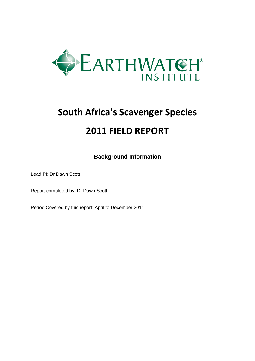

# **South Africa's Scavenger Species 2011 FIELD REPORT**

**Background Information**

Lead PI: Dr Dawn Scott

Report completed by: Dr Dawn Scott

Period Covered by this report: April to December 2011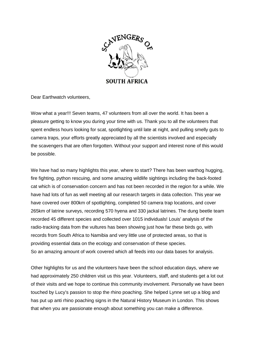

Dear Earthwatch volunteers,

Wow what a year!!! Seven teams, 47 volunteers from all over the world. It has been a pleasure getting to know you during your time with us. Thank you to all the volunteers that spent endless hours looking for scat, spotlighting until late at night, and pulling smelly guts to camera traps, your efforts greatly appreciated by all the scientists involved and especially the scavengers that are often forgotten. Without your support and interest none of this would be possible.

We have had so many highlights this year, where to start? There has been warthog hugging, fire fighting, python rescuing, and some amazing wildlife sightings including the back-footed cat which is of conservation concern and has not been recorded in the region for a while. We have had lots of fun as well meeting all our research targets in data collection. This year we have covered over 800km of spotlighting, completed 50 camera trap locations, and cover 265km of latrine surveys, recording 570 hyena and 330 jackal latrines. The dung beetle team recorded 45 different species and collected over 1015 individuals! Louis' analysis of the radio-tracking data from the vultures has been showing just how far these birds go, with records from South Africa to Namibia and very little use of protected areas, so that is providing essential data on the ecology and conservation of these species. So an amazing amount of work covered which all feeds into our data bases for analysis.

Other highlights for us and the volunteers have been the school education days, where we had approximately 250 children visit us this year. Volunteers, staff, and students get a lot out of their visits and we hope to continue this community involvement. Personally we have been touched by Lucy's passion to stop the rhino poaching. She helped Lynne set up a blog and has put up anti rhino poaching signs in the Natural History Museum in London. This shows that when you are passionate enough about something you can make a difference.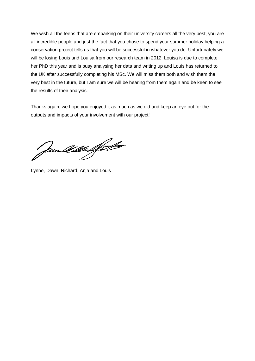We wish all the teens that are embarking on their university careers all the very best, you are all incredible people and just the fact that you chose to spend your summer holiday helping a conservation project tells us that you will be successful in whatever you do. Unfortunately we will be losing Louis and Louisa from our research team in 2012. Louisa is due to complete her PhD this year and is busy analysing her data and writing up and Louis has returned to the UK after successfully completing his MSc. We will miss them both and wish them the very best in the future, but I am sure we will be hearing from them again and be keen to see the results of their analysis.

Thanks again, we hope you enjoyed it as much as we did and keep an eye out for the outputs and impacts of your involvement with our project!

Jun William Statt

Lynne, Dawn, Richard, Anja and Louis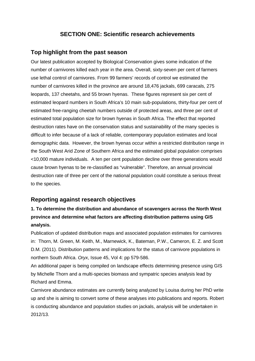#### **SECTION ONE: Scientific research achievements**

#### **Top highlight from the past season**

Our latest publication accepted by Biological Conservation gives some indication of the number of carnivores killed each year in the area. Overall, sixty-seven per cent of farmers use lethal control of carnivores. From 99 farmers' records of control we estimated the number of carnivores killed in the province are around 18,476 jackals, 699 caracals, 275 leopards, 137 cheetahs, and 55 brown hyenas. These figures represent six per cent of estimated leopard numbers in South Africa's 10 main sub-populations, thirty-four per cent of estimated free-ranging cheetah numbers outside of protected areas, and three per cent of estimated total population size for brown hyenas in South Africa. The effect that reported destruction rates have on the conservation status and sustainability of the many species is difficult to infer because of a lack of reliable, contemporary population estimates and local demographic data. However, the brown hyenas occur within a restricted distribution range in the South West Arid Zone of Southern Africa and the estimated global population comprises <10,000 mature individuals. A ten per cent population decline over three generations would cause brown hyenas to be re-classified as "vulnerable". Therefore, an annual provincial destruction rate of three per cent of the national population could constitute a serious threat to the species.

#### **Reporting against research objectives**

## **1. To determine the distribution and abundance of scavengers across the North West province and determine what factors are affecting distribution patterns using GIS analysis.**

Publication of updated distribution maps and associated population estimates for carnivores in: Thorn, M. Green, M. Keith, M., Marnewick, K., Bateman, P.W., Cameron, E. Z. and Scott D.M. (2011). Distribution patterns and implications for the status of carnivore populations in northern South Africa. *Oryx*, Issue 45, Vol 4: pp 579-586.

An additional paper is being compiled on landscape effects determining presence using GIS by Michelle Thorn and a multi-species biomass and sympatric species analysis lead by Richard and Emma.

Carnivore abundance estimates are currently being analyzed by Louisa during her PhD write up and she is aiming to convert some of these analyses into publications and reports. Robert is conducting abundance and population studies on jackals, analysis will be undertaken in 2012/13.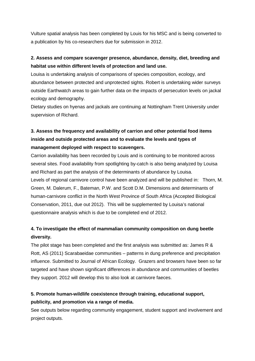Vulture spatial analysis has been completed by Louis for his MSC and is being converted to a publication by his co-researchers due for submission in 2012.

#### **2. Assess and compare scavenger presence, abundance, density, diet, breeding and habitat use within different levels of protection and land use.**

Louisa is undertaking analysis of comparisons of species composition, ecology, and abundance between protected and unprotected sights. Robert is undertaking wider surveys outside Earthwatch areas to gain further data on the impacts of persecution levels on jackal ecology and demography.

Dietary studies on hyenas and jackals are continuing at Nottingham Trent University under supervision of Richard.

# **3. Assess the frequency and availability of carrion and other potential food items inside and outside protected areas and to evaluate the levels and types of management deployed with respect to scavengers.**

Carrion availability has been recorded by Louis and is continuing to be monitored across several sites. Food availability from spotlighting by-catch is also being analyzed by Louisa and Richard as part the analysis of the determinants of abundance by Louisa. Levels of regional carnivore control have been analyzed and will be published in: Thorn, M. Green, M. Dalerum, F., Bateman, P.W. and Scott D.M. Dimensions and determinants of human-carnivore conflict in the North West Province of South Africa (Accepted Biological Conservation, 2011, due out 2012). This will be supplemented by Louisa's national questionnaire analysis which is due to be completed end of 2012.

#### **4. To investigate the effect of mammalian community composition on dung beetle diversity.**

The pilot stage has been completed and the first analysis was submitted as: James R & Rott, AS (2011) Scarabaeidae communities – patterns in dung preference and precipitation influence. Submitted to Journal of African Ecology. Grazers and browsers have been so far targeted and have shown significant differences in abundance and communities of beetles they support. 2012 will develop this to also look at carnivore faeces.

#### **5. Promote human-wildlife coexistence through training, educational support, publicity, and promotion via a range of media.**

See outputs below regarding community engagement, student support and involvement and project outputs.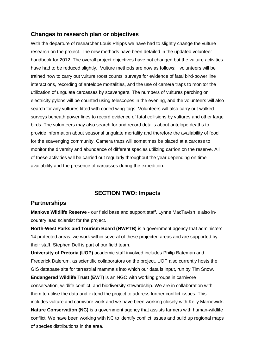#### **Changes to research plan or objectives**

With the departure of researcher Louis Phipps we have had to slightly change the vulture research on the project. The new methods have been detailed in the updated volunteer handbook for 2012. The overall project objectives have not changed but the vulture activities have had to be reduced slightly. Vulture methods are now as follows: volunteers will be trained how to carry out vulture roost counts, surveys for evidence of fatal bird-power line interactions, recording of antelope mortalities, and the use of camera traps to monitor the utilization of ungulate carcasses by scavengers. The numbers of vultures perching on electricity pylons will be counted using telescopes in the evening, and the volunteers will also search for any vultures fitted with coded wing-tags. Volunteers will also carry out walked surveys beneath power lines to record evidence of fatal collisions by vultures and other large birds. The volunteers may also search for and record details about antelope deaths to provide information about seasonal ungulate mortality and therefore the availability of food for the scavenging community. Camera traps will sometimes be placed at a carcass to monitor the diversity and abundance of different species utilizing carrion on the reserve. All of these activities will be carried out regularly throughout the year depending on time availability and the presence of carcasses during the expedition.

#### **SECTION TWO: Impacts**

#### **Partnerships**

**Mankwe Wildlife Reserve** - our field base and support staff. Lynne MacTavish is also incountry lead scientist for the project.

**North-West Parks and Tourism Board (NWPTB)** is a government agency that administers 14 protected areas, we work within several of these projected areas and are supported by their staff. Stephen Dell is part of our field team.

**University of Pretoria (UOP)** academic staff involved includes Philip Bateman and Frederick Dalerum, as scientific collaborators on the project. UOP also currently hosts the GIS database site for terrestrial mammals into which our data is input, run by Tim Snow. **Endangered Wildlife Trust (EWT)** is an NGO with working groups in carnivore conservation, wildlife conflict, and biodiversity stewardship. We are in collaboration with them to utilise the data and extend the project to address further conflict issues. This includes vulture and carnivore work and we have been working closely with Kelly Marnewick. **Nature Conservation (NC)** is a government agency that assists farmers with human-wildlife conflict. We have been working with NC to identify conflict issues and build up regional maps of species distributions in the area.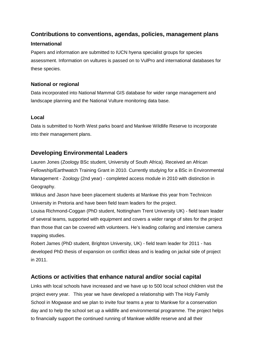## **Contributions to conventions, agendas, policies, management plans**

#### **International**

Papers and information are submitted to IUCN hyena specialist groups for species assessment. Information on vultures is passed on to VulPro and international databases for these species.

#### **National or regional**

Data incorporated into National Mammal GIS database for wider range management and landscape planning and the National Vulture monitoring data base.

#### **Local**

Data is submitted to North West parks board and Mankwe Wildlife Reserve to incorporate into their management plans.

#### **Developing Environmental Leaders**

Lauren Jones (Zoology BSc student, University of South Africa). Received an African Fellowship/Earthwatch Training Grant in 2010. Currently studying for a BSc in Environmental Management - Zoology (2nd year) - completed access module in 2010 with distinction in Geography.

Wikkus and Jason have been placement students at Mankwe this year from Technicon University in Pretoria and have been field team leaders for the project.

Louisa Richmond-Coggan (PhD student, Nottingham Trent University UK) - field team leader of several teams, supported with equipment and covers a wider range of sites for the project than those that can be covered with volunteers. He's leading collaring and intensive camera trapping studies.

Robert James (PhD student, Brighton University, UK) - field team leader for 2011 - has developed PhD thesis of expansion on conflict ideas and is leading on jackal side of project in 2011.

#### **Actions or activities that enhance natural and/or social capital**

Links with local schools have increased and we have up to 500 local school children visit the project every year. This year we have developed a relationship with The Holy Family School in Mogwase and we plan to invite four teams a year to Mankwe for a conservation day and to help the school set up a wildlife and environmental programme. The project helps to financially support the continued running of Mankwe wildlife reserve and all their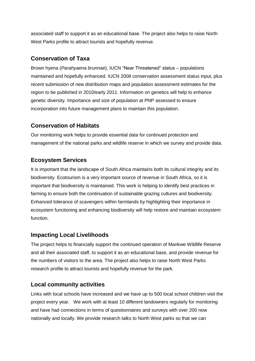associated staff to support it as an educational base. The project also helps to raise North West Parks profile to attract tourists and hopefully revenue.

#### **Conservation of Taxa**

Brown hyena (*Parahyaena brunnae*), IUCN "Near Threatened" status – populations maintained and hopefully enhanced. IUCN 2008 conservation assessment status input, plus recent submission of new distribution maps and population assessment estimates for the region to be published in 2010/early 2011. Information on genetics will help to enhance genetic diversity. Importance and size of population at PNP assessed to ensure incorporation into future management plans to maintain this population.

#### **Conservation of Habitats**

Our monitoring work helps to provide essential data for continued protection and management of the national parks and wildlife reserve in which we survey and provide data.

#### **Ecosystem Services**

It is important that the landscape of South Africa maintains both its cultural integrity and its biodiversity. Ecotourism is a very important source of revenue in South Africa, so it is important that biodiversity is maintained. This work is helping to identify best practices in farming to ensure both the continuation of sustainable grazing cultures and biodiversity. Enhanced tolerance of scavengers within farmlands by highlighting their importance in ecosystem functioning and enhancing biodiversity will help restore and maintain ecosystem function.

#### **Impacting Local Livelihoods**

The project helps to financially support the continued operation of Mankwe Wildlife Reserve and all their associated staff, to support it as an educational base, and provide revenue for the numbers of visitors to the area. The project also helps to raise North West Parks research profile to attract tourists and hopefully revenue for the park.

#### **Local community activities**

Links with local schools have increased and we have up to 500 local school children visit the project every year. We work with at least 10 different landowners regularly for monitoring and have had connections in terms of questionnaires and surveys with over 200 now nationally and locally. We provide research talks to North West parks so that we can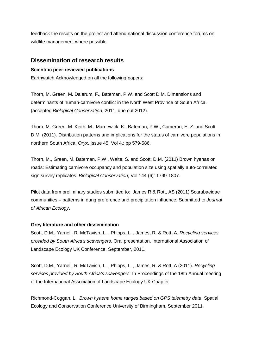feedback the results on the project and attend national discussion conference forums on wildlife management where possible.

#### **Dissemination of research results**

#### **Scientific peer-reviewed publications**

Earthwatch Acknowledged on all the following papers:

Thorn, M. Green, M. Dalerum, F., Bateman, P.W. and Scott D.M. Dimensions and determinants of human-carnivore conflict in the North West Province of South Africa. (accepted *Biological Conservation*, 2011, due out 2012).

Thorn, M. Green, M. Keith, M., Marnewick, K., Bateman, P.W., Cameron, E. Z. and Scott D.M. (2011). Distribution patterns and implications for the status of carnivore populations in northern South Africa. *Oryx*, Issue 45, Vol 4.: pp 579-586.

Thorn, M., Green, M. Bateman, P.W., Waite, S. and Scott, D.M. (2011) Brown hyenas on roads: Estimating carnivore occupancy and population size using spatially auto-correlated sign survey replicates. *Biological Conservation*, Vol 144 (6): 1799-1807.

Pilot data from preliminary studies submitted to: James R & Rott, AS (2011) Scarabaeidae communities – patterns in dung preference and precipitation influence. Submitted to *Journal of African Ecology*.

#### **Grey literature and other dissemination**

Scott, D.M., Yarnell, R. McTavish, L. , Phipps, L. , James, R. & Rott, A. *Recycling services provided by South Africa's scavengers*. Oral presentation. International Association of Landscape Ecology UK Conference, September, 2011.

Scott, D.M., Yarnell, R. McTavish, L. , Phipps, L. , James, R. & Rott, A (2011). *Recycling services provided by South Africa's scavengers.* In Proceedings of the 18th Annual meeting of the International Association of Landscape Ecology UK Chapter

Richmond-Coggan, L. *Brown hyaena home ranges based on GPS telemetry data*. Spatial Ecology and Conservation Conference University of Birmingham, September 2011.